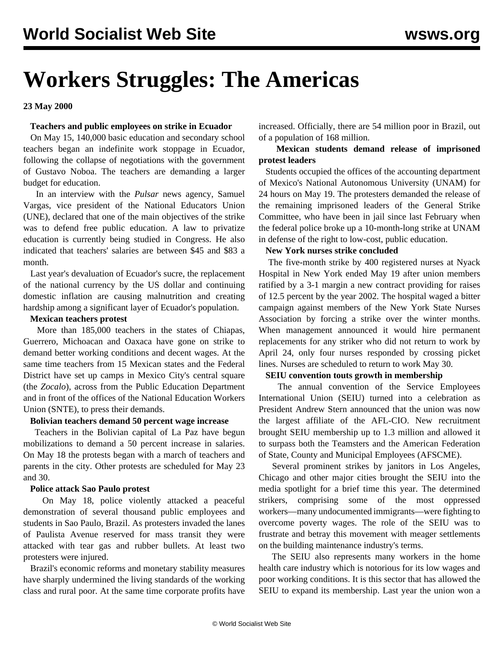# **Workers Struggles: The Americas**

**23 May 2000**

#### **Teachers and public employees on strike in Ecuador**

 On May 15, 140,000 basic education and secondary school teachers began an indefinite work stoppage in Ecuador, following the collapse of negotiations with the government of Gustavo Noboa. The teachers are demanding a larger budget for education.

 In an interview with the *Pulsar* news agency, Samuel Vargas, vice president of the National Educators Union (UNE), declared that one of the main objectives of the strike was to defend free public education. A law to privatize education is currently being studied in Congress. He also indicated that teachers' salaries are between \$45 and \$83 a month.

 Last year's devaluation of Ecuador's sucre, the replacement of the national currency by the US dollar and continuing domestic inflation are causing malnutrition and creating hardship among a significant layer of Ecuador's population.

# **Mexican teachers protest**

 More than 185,000 teachers in the states of Chiapas, Guerrero, Michoacan and Oaxaca have gone on strike to demand better working conditions and decent wages. At the same time teachers from 15 Mexican states and the Federal District have set up camps in Mexico City's central square (the *Zocalo*), across from the Public Education Department and in front of the offices of the National Education Workers Union (SNTE), to press their demands.

#### **Bolivian teachers demand 50 percent wage increase**

 Teachers in the Bolivian capital of La Paz have begun mobilizations to demand a 50 percent increase in salaries. On May 18 the protests began with a march of teachers and parents in the city. Other protests are scheduled for May 23 and 30.

#### **Police attack Sao Paulo protest**

 On May 18, police violently attacked a peaceful demonstration of several thousand public employees and students in Sao Paulo, Brazil. As protesters invaded the lanes of Paulista Avenue reserved for mass transit they were attacked with tear gas and rubber bullets. At least two protesters were injured.

 Brazil's economic reforms and monetary stability measures have sharply undermined the living standards of the working class and rural poor. At the same time corporate profits have increased. Officially, there are 54 million poor in Brazil, out of a population of 168 million.

# **Mexican students demand release of imprisoned protest leaders**

 Students occupied the offices of the accounting department of Mexico's National Autonomous University (UNAM) for 24 hours on May 19. The protesters demanded the release of the remaining imprisoned leaders of the General Strike Committee, who have been in jail since last February when the federal police broke up a 10-month-long strike at UNAM in defense of the right to low-cost, public education.

# **New York nurses strike concluded**

 The five-month strike by 400 registered nurses at Nyack Hospital in New York ended May 19 after union members ratified by a 3-1 margin a new contract providing for raises of 12.5 percent by the year 2002. The hospital waged a bitter campaign against members of the New York State Nurses Association by forcing a strike over the winter months. When management announced it would hire permanent replacements for any striker who did not return to work by April 24, only four nurses responded by crossing picket lines. Nurses are scheduled to return to work May 30.

#### **SEIU convention touts growth in membership**

 The annual convention of the Service Employees International Union (SEIU) turned into a celebration as President Andrew Stern announced that the union was now the largest affiliate of the AFL-CIO. New recruitment brought SEIU membership up to 1.3 million and allowed it to surpass both the Teamsters and the American Federation of State, County and Municipal Employees (AFSCME).

 Several prominent strikes by janitors in Los Angeles, Chicago and other major cities brought the SEIU into the media spotlight for a brief time this year. The determined strikers, comprising some of the most oppressed workers—many undocumented immigrants—were fighting to overcome poverty wages. The role of the SEIU was to frustrate and betray this movement with meager settlements on the building maintenance industry's terms.

 The SEIU also represents many workers in the home health care industry which is notorious for its low wages and poor working conditions. It is this sector that has allowed the SEIU to expand its membership. Last year the union won a